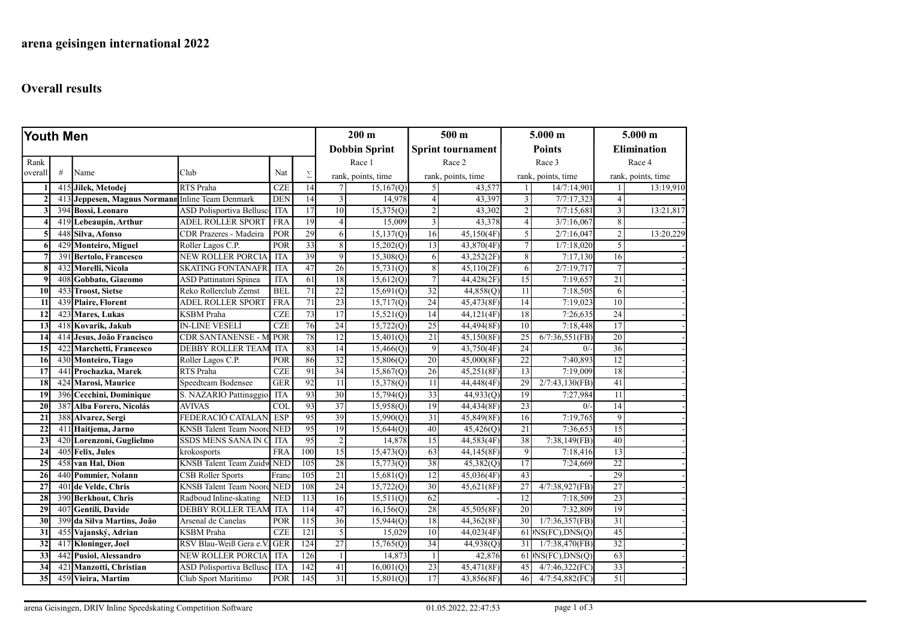## Overall results

| Youth Men        |     |                                                  |                                   | $200 \text{ m}$ |                      | 500 <sub>m</sub> |                          | 5.000 m        |                       | $5.000$ m       |                        |                 |                    |  |
|------------------|-----|--------------------------------------------------|-----------------------------------|-----------------|----------------------|------------------|--------------------------|----------------|-----------------------|-----------------|------------------------|-----------------|--------------------|--|
|                  |     |                                                  |                                   |                 | <b>Dobbin Sprint</b> |                  | <b>Sprint tournament</b> |                | <b>Points</b>         |                 | <b>Elimination</b>     |                 |                    |  |
| Rank             |     |                                                  |                                   |                 |                      |                  | Race 1                   |                | Race 2                |                 | Race 3                 |                 | Race 4             |  |
| overall          | #   | Name                                             | Club                              | Nat             | Σ                    |                  | rank, points, time       |                | rank, points, time    |                 | rank, points, time     |                 | rank, points, time |  |
|                  |     | 415 Jilek, Metodej                               | RTS Praha                         | CZE             | $\overline{14}$      |                  | 15,167(Q)                | $\mathfrak{S}$ | 43,577                |                 | 14/7:14,901            | $\mathbf{1}$    | 13:19,910          |  |
| $\overline{2}$   |     | 413 Jeppesen, Magnus Normann Inline Team Denmark |                                   | <b>DEN</b>      | $\overline{14}$      | $\mathfrak{Z}$   | 14,978                   | $\vert$        | 43,397                | 3               | 7/7:17,323             | $\overline{4}$  |                    |  |
|                  |     | 394 Bossi, Leonaro                               | <b>ASD Polisportiva Bellusc</b>   | <b>ITA</b>      | 17                   | 10               | 15,375(Q)                | $\overline{2}$ | 43,302                | $\overline{2}$  | 7/7:15,681             | $\overline{3}$  | 13:21,817          |  |
|                  |     | 419 Lebeaupin, Arthur                            | <b>ADEL ROLLER SPORT</b>          | FRA             | 19                   | $\overline{4}$   | 15,009                   | $\overline{3}$ | 43,378                | $\vert$         | 3/7:16,067             | 8               |                    |  |
| 5                |     | 448 Silva, Afonso                                | CDR Prazeres - Madeira            | POR             | 29                   | 6                | 15,137(Q)                | 16             | 45,150(4F)            | $\overline{5}$  | 2/7:16,047             | $\overline{2}$  | 13:20,229          |  |
| 6                |     | 429 Monteiro, Miguel                             | Roller Lagos C.P.                 | POR             | 33                   | 8                | 15,202(Q)                | 13             | 43,870(4F)            | $\tau$          | 1/7:18,020             | 5               |                    |  |
|                  |     | 391 Bertolo, Francesco                           | <b>NEW ROLLER PORCIA</b>          | ITA             | 39                   | $\overline{9}$   | 15,308(Q)                | 6              | 43,252(2F)            | 8 <sup>1</sup>  | 7:17,130               | 16              |                    |  |
| 8                | 432 | Morelli, Nicola                                  | <b>SKATING FONTANAFRI</b>         | <b>ITA</b>      | 47                   | 26               | 15,731(Q)                | $\,8$          | 45,110(2F)            | 6               | 2/7:19,717             | $\overline{7}$  |                    |  |
| $\boldsymbol{q}$ |     | 408 Gobbato, Giacomo                             | <b>ASD Pattinatori Spinea</b>     | <b>ITA</b>      | 61                   | 18               | 15,612(Q)                | $\overline{7}$ | 44,428(2F)            | 15              | 7:19,657               | 21              |                    |  |
| 10               |     | 453 Troost, Sietse                               | Reko Rollerclub Zemst             | <b>BEL</b>      | 71                   | 22               | 15,691(Q)                | 32             | 44,858(Q)             | 11              | 7:18,505               | 6               |                    |  |
| 11               |     | 439 Plaire, Florent                              | <b>ADEL ROLLER SPORT</b>          | <b>FRA</b>      | 71                   | 23               | 15,717(Q)                | 24             | 45,473(8F)            | 14              | 7:19,023               | 10              |                    |  |
| 12               |     | 423 Mares, Lukas                                 | <b>KSBM</b> Praha                 | CZE             | 73                   | 17               | 15,521(Q)                | 14             | 44,121(4F)            | 18              | 7:26,635               | $\overline{24}$ |                    |  |
| $\overline{13}$  |     | 418 Kovarik, Jakub                               | <b>IN-LINE VESELÍ</b>             | <b>CZE</b>      | 76                   | 24               | 15,722(Q)                | 25             | 44,494(8F)            | 10              | 7:18,448               | 17              |                    |  |
| 14               |     | 414 Jesus, João Francisco                        | <b>CDR SANTANENSE - N</b>         | POR             | 78                   | 12               | 15,401(Q)                | 21             | 45,150(8F)            | 25              | 6/7:36,551(FB)         | 20              |                    |  |
| $\overline{15}$  | 422 | Marchetti, Francesco                             | <b>DEBBY ROLLER TEAM</b>          | <b>ITA</b>      | 83                   | 14               | 15,466(Q)                | $\overline{9}$ | 43,750(4F)            | $\overline{24}$ | 0/                     | 36              |                    |  |
| 16               |     | 430 Monteiro, Tiago                              | Roller Lagos C.P.                 | POR             | 86                   | 32               | 15,806(Q)                | 20             | 45,000(8F)            | 22              | 7:40,893               | 12              |                    |  |
| 17               |     | 441 Prochazka, Marek                             | RTS Praha                         | <b>CZE</b>      | 91                   | 34               | 15,867(Q)                | 26             | 45,251(8F)            | 13              | 7:19,009               | 18              |                    |  |
| 18               |     | 424 Marosi, Maurice                              | Speedteam Bodensee                | <b>GER</b>      | 92                   | 11               | 15,378(Q)                | 11             | 44,448(4F)            | 29              | 2/7:43,130(FB)         | 41              |                    |  |
| 19               |     | 396 Cecchini, Dominique                          | S. NAZARIO Pattinaggio            | <b>ITA</b>      | 93                   | 30               | 15,794(Q)                | 33             | 44,933(Q)             | 19              | 7:27,984               | $\overline{11}$ |                    |  |
| 20               | 387 | Alba Forero, Nicolás                             | <b>AVIVAS</b>                     | <b>COL</b>      | 93                   | $\overline{37}$  | 15,958(Q)                | 19             | 44,434(8F)            | 23              | 0/                     | 14              |                    |  |
| 21               |     | 388 Alvarez, Sergi                               | FEDERACIÓ CATALAN.                | <b>ESP</b>      | 95                   | 39               | 15,990(Q)                | 31             | 45,849(8F)            | 16              | 7:19,765               | $\overline{9}$  |                    |  |
| $\overline{22}$  |     | 411 Haitjema, Jarno                              | <b>KNSB</b> Talent Team Noord     | <b>NED</b>      | 95                   | 19               | 15,644(Q)                | 40             | 45,426(Q)             | 21              | 7:36,653               | $\overline{15}$ |                    |  |
| 23               |     | 420 Lorenzoni, Guglielmo                         | SSDS MENS SANA IN C               | <b>ITA</b>      | 95                   | $\overline{c}$   | 14,878                   | 15             | 44,583(4F)            | 38              | 7:38,149(FB)           | 40              |                    |  |
| 24               |     | 405 Felix, Jules                                 | krokosports                       | <b>FRA</b>      | 100                  | 15               | 15,473(Q)                | 63             | 44,145(8F)            | $\vert 9 \vert$ | 7:18,416               | $\overline{13}$ |                    |  |
| 25               |     | 458 van Hal, Dion                                | <b>KNSB Talent Team Zuidw NED</b> |                 | 105                  | 28               | 15,773(Q)                | 38             | 45,382 <sub>(Q)</sub> | 17              | 7:24,669               | 22              |                    |  |
| 26               |     | 440 Pommier, Nolann                              | CSB Roller Sports                 | Franc           | 105                  | 21               | 15,681(Q)                | 12             | 45,036(4F)            | 43              |                        | 29              |                    |  |
| 27               |     | 401 de Velde, Chris                              | <b>KNSB</b> Talent Team Noord     | <b>NED</b>      | 108                  | 24               | 15,722(Q)                | 30             | 45,621(8F)            | 27              | 4/7:38,927(FB)         | 27              |                    |  |
| 28               |     | 390 Berkhout, Chris                              | Radboud Inline-skating            | <b>NED</b>      | $\overline{113}$     | 16               | 15,511(Q)                | 62             |                       | $\overline{12}$ | 7:18,509               | 23              |                    |  |
| 29               |     | 407 Gentili, Davide                              | <b>DEBBY ROLLER TEAM</b>          | <b>ITA</b>      | 114                  | 47               | 16, 156(Q)               | 28             | 45,505(8F)            | 20              | 7:32,809               | 19              |                    |  |
| 30               | 399 | da Silva Martins, João                           | Arsenal de Canelas                | POR             | $\overline{115}$     | $\overline{36}$  | 15,944(0)                | 18             | 44,362(8F)            | 30 <sup>1</sup> | 1/7:36,357(FB)         | $\overline{31}$ |                    |  |
| 31               | 455 | Vajanský, Adrian                                 | <b>KSBM</b> Praha                 | <b>CZE</b>      | 121                  | 5                | 15,029                   | 10             | 44,023(4F)            |                 | $61$ )NS(FC),DNS(Q)    | 45              |                    |  |
| 32               | 417 | <b>Kloninger</b> , Joel                          | RSV Blau-Weiß Gera e.             | <b>GER</b>      | 124                  | 27               | 15,765(Q)                | 34             | 44,938(Q)             | 31              | 1/7:38,470(FB)         | 32              |                    |  |
| $\overline{33}$  | 442 | Pusiol, Alessandro                               | <b>NEW ROLLER PORCIA</b>          | <b>ITA</b>      | 126                  | $\mathbf{1}$     | 14,873                   | $\mathbf{1}$   | 42,876                |                 | $61$ $ NS(FC), DNS(Q)$ | 63              |                    |  |
| 34               | 421 | Manzotti, Christian                              | <b>ASD Polisportiva Bellusc</b>   | <b>ITA</b>      | 142                  | 41               | 16,001(Q)                | 23             | 45,471(8F)            | 45              | 4/7:46,322(FC)         | 33              |                    |  |
| $\overline{35}$  |     | 459 Vieira, Martim                               | Club Sport Maritimo               | POR             | 145                  | 31               | 15,801(Q)                | 17             | 43,856(8F)            | 46              | 4/7:54,882(FC)         | 51              |                    |  |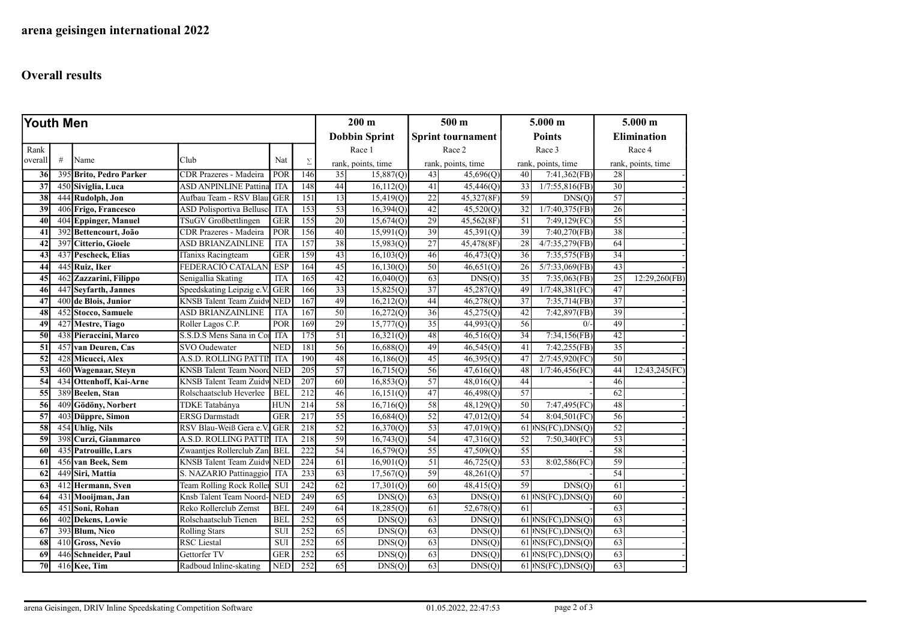## Overall results

| Youth Men       |     |                         |                                 |                      | $200 \text{ m}$ |                          | $500 \text{ m}$    |                 | $5.000 \; m$       |                    | $5.000$ m                                           |                 |                    |
|-----------------|-----|-------------------------|---------------------------------|----------------------|-----------------|--------------------------|--------------------|-----------------|--------------------|--------------------|-----------------------------------------------------|-----------------|--------------------|
|                 |     |                         |                                 | <b>Dobbin Sprint</b> |                 | <b>Sprint tournament</b> |                    | <b>Points</b>   |                    | <b>Elimination</b> |                                                     |                 |                    |
| Rank            |     |                         |                                 |                      |                 |                          | Race 1             |                 | Race 2             |                    | Race 3                                              |                 | Race 4             |
| overall         | #   | Name                    | Club                            | Nat                  | Σ               |                          | rank, points, time |                 | rank, points, time |                    | rank, points, time                                  |                 | rank, points, time |
| 36              |     | 395 Brito, Pedro Parker | CDR Prazeres - Madeira          | POR                  | 146             | 35                       | 15,887(Q)          | 43              | 45,696(Q)          | 40                 | 7:41,362(FB)                                        | 28              |                    |
| 37              |     | 450 Siviglia, Luca      | <b>ASD ANPINLINE Pattina</b>    | <b>ITA</b>           | 148             | 44                       | 16,112(Q)          | 41              | 45,446(Q)          | 33                 | $1/7:55,816$ (FB)                                   | 30              |                    |
| 38              |     | 444 Rudolph, Jon        | Aufbau Team - RSV Blau          | GER                  | 151             | 13                       | 15,419(Q)          | $\overline{22}$ | 45,327(8F)         | 59                 | DNS(O)                                              | $\overline{57}$ |                    |
| 39              |     | 406 Frigo, Francesco    | <b>ASD Polisportiva Bellusc</b> | <b>ITA</b>           | 153             | 53                       | 16,394(Q)          | 42              | 45,520(Q)          | 32                 | 1/7:40,375(FB)                                      | $\overline{26}$ |                    |
| 40              |     | 404 Eppinger, Manuel    | TSuGV Großbettlingen            | <b>GER</b>           | 155             | 20                       | 15,674(Q)          | 29              | 45,562(8F)         | 51                 | 7:49,129(FC)                                        | 55              |                    |
| 41              | 392 | Bettencourt, João       | CDR Prazeres - Madeira          | POR                  | 156             | 40                       | 15,991(Q)          | 39              | 45,391(Q)          | 39                 | 7:40,270(FB)                                        | 38              |                    |
| 42              |     | 397 Citterio, Gioele    | ASD BRIANZAINLINE               | <b>ITA</b>           | 157             | 38                       | 15,983(Q)          | $\overline{27}$ | 45,478(8F)         | 28                 | 4/7:35,279(FB)                                      | 64              |                    |
| 43              |     | 437 Pescheck, Elias     | ITanixs Racingteam              | <b>GER</b>           | 159             | 43                       | 16,103(Q)          | 46              | 46,473(Q)          | 36                 | 7:35,575(FB)                                        | 34              |                    |
| 44              |     | 445 Ruiz, Iker          | FEDERACIÓ CATALAN               | ESP                  | 164             | 45                       | 16,130(Q)          | 50              | 46,651(0)          | 26                 | $5/7:33,069$ (FB)                                   | 43              |                    |
| 45              |     | 462 Zazzarini, Filippo  | Senigallia Skating              | <b>ITA</b>           | 165             | 42                       | 16,040(0)          | 63              | DNS(O)             | $\overline{35}$    | 7:35,063(FB)                                        | 25              | 12:29,260(FB)      |
| 46              |     | 447 Sevfarth, Jannes    | Speedskating Leipzig e.V        | <b>GER</b>           | 166             | 33                       | 15,825(Q)          | $\overline{37}$ | 45,287(Q)          | 49                 | 1/7:48,381(FC)                                      | 47              |                    |
| 47              |     | 400 de Blois, Junior    | <b>KNSB</b> Talent Team Zuidw   | <b>NED</b>           | 167             | 49                       | 16,212(Q)          | 44              | 46,278(Q)          | $\overline{37}$    | 7:35,714(FB)                                        | 37              |                    |
| 48              |     | 452 Stocco, Samuele     | <b>ASD BRIANZAINLINE</b>        | <b>ITA</b>           | 167             | 50                       | 16,272(Q)          | 36              | 45,275(Q)          | 42                 | 7:42,897(FB)                                        | 39              |                    |
| 49              |     | 427 Mestre, Tiago       | Roller Lagos C.P.               | POR                  | 169             | 29                       | 15,777(Q)          | 35              | 44,993(Q)          | 56                 | 0/                                                  | 49              |                    |
| $\overline{50}$ |     | 438 Pieraccini, Marco   | S.S.D.S Mens Sana in Co.        | <b>ITA</b>           | 175             | 51                       | 16,321(Q)          | 48              | 46,516(Q)          | 34                 | 7:34,156(FB)                                        | 42              |                    |
| 51              |     | 457 van Deuren, Cas     | SVO Oudewater                   | <b>NED</b>           | 181             | 56                       | 16,688(Q)          | 49              | 46,545(Q)          | 41                 | 7:42,255(FB)                                        | $\overline{35}$ |                    |
| 52              |     | 428 Micucci, Alex       | A.S.D. ROLLING PATTIN           | <b>ITA</b>           | 190             | 48                       | 16,186(Q)          | 45              | 46,395(Q)          | 47                 | 2/7:45,920(FC)                                      | 50              |                    |
| 53              |     | 460 Wagenaar, Steyn     | <b>KNSB</b> Talent Team Noord   | <b>NED</b>           | 205             | 57                       | 16,715(Q)          | 56              | 47,616(Q)          | 48                 | 1/7:46,456(FC)                                      | 44              | 12:43,245(FC)      |
| 54              |     | 434 Ottenhoff, Kai-Arne | <b>KNSB</b> Talent Team Zuidw   | <b>NED</b>           | 207             | 60                       | 16,853(Q)          | 57              | 48,016(Q)          | 44                 |                                                     | 46              |                    |
| 55              |     | 389 Beelen, Stan        | Rolschaatsclub Heverlee         | <b>BEL</b>           | 212             | 46                       | 16,151(Q)          | 47              | 46,498(Q)          | 57                 |                                                     | 62              |                    |
| 56              |     | 409 Gödöny, Norbert     | TDKE Tatabánya                  | <b>HUN</b>           | 214             | 58                       | 16,716(Q)          | 58              | 48,129(Q)          | 50                 | 7:47,495(FC)                                        | 48              |                    |
| 57              |     | 403 Düppre, Simon       | <b>ERSG Darmstadt</b>           | <b>GER</b>           | 217             | 55                       | 16,684(Q)          | 52              | 47,012(Q)          | 54                 | 8:04,501(FC)                                        | 56              |                    |
| 58              |     | 454 Uhlig, Nils         | RSV Blau-Weiß Gera e.V          | <b>GER</b>           | 218             | 52                       | 16,370(Q)          | 53              | 47,019(Q)          |                    | $61 $ NS(FC),DNS(Q)                                 | $\overline{52}$ |                    |
| 59              |     | 398 Curzi, Gianmarco    | A.S.D. ROLLING PATTIN           | <b>ITA</b>           | 218             | 59                       | 16,743(Q)          | 54              | 47,316(Q)          | 52                 | 7:50,340(FC)                                        | 53              |                    |
| 60              |     | 435 Patrouille, Lars    | Zwaantjes Rollerclub Zan        | <b>BEL</b>           | 222             | 54                       | 16,579(Q)          | 55              | 47,509(Q)          | 55                 |                                                     | 58              |                    |
| 61              |     | 456 van Beek, Sem       | KNSB Talent Team Zuidw          | <b>NED</b>           | 224             | 61                       | 16,901(Q)          | 51              | 46,725(Q)          | 53                 | 8:02,586(FC)                                        | 59              |                    |
| 62              |     | 449 Siri, Mattia        | S. NAZARIO Pattinaggio          | <b>ITA</b>           | 233             | 63                       | 17,567(Q)          | 59              | 48,261(Q)          | 57                 |                                                     | 54              |                    |
| 63              |     | 412 Hermann, Sven       | Team Rolling Rock Roller        | <b>SUI</b>           | 242             | 62                       | 17,301(Q)          | 60              | 48,415(Q)          | 59                 | DNS(O)                                              | 61              |                    |
| -64             |     | 431 Mooijman, Jan       | Knsb Talent Team Noord-         | <b>NED</b>           | 249             | 65                       | DNS(Q)             | 63              | DNS(Q)             |                    | $61$ )NS(FC),DNS(Q)                                 | 60              |                    |
| 65              |     | 451 Soni, Rohan         | Reko Rollerclub Zemst           | <b>BEI</b>           | 249             | 64                       | 18,285(Q)          | 61              | 52,678(Q)          | 61                 |                                                     | 63              |                    |
| 66              |     | 402 Dekens, Lowie       | Rolschaatsclub Tienen           | <b>BEL</b>           | 252             | 65                       | DNS(Q)             | 63              | DNS(Q)             |                    | $61$ <sup><math>\rangle</math></sup> NS(FC), DNS(Q) | 63              |                    |
| 67              |     | 393 Blum, Nico          | <b>Rolling Stars</b>            | SUI                  | 252             | 65                       | DNS(Q)             | 63              | DNS(Q)             |                    | $61 $ $NS(FC)$ , $DNS(Q)$                           | 63              |                    |
| 68              |     | 410 Gross, Nevio        | <b>RSC</b> Liestal              | <b>SUI</b>           | 252             | 65                       | DNS(Q)             | 63              | DNS(Q)             |                    | $61 $ NS(FC), DNS(Q)                                | 63              |                    |
| 69              |     | 446 Schneider, Paul     | Gettorfer TV                    | <b>GER</b>           | 252             | 65                       | DNS(Q)             | 63              | DNS(Q)             |                    | $61$ NS(FC), DNS(Q)                                 | 63              |                    |
| 70              |     | 416 Kee, Tim            | Radboud Inline-skating          | <b>NED</b>           | 252             | 65                       | DNS(Q)             | 63              | DNS(Q)             |                    | $61 $ NS(FC), DNS(Q)                                | 63              |                    |